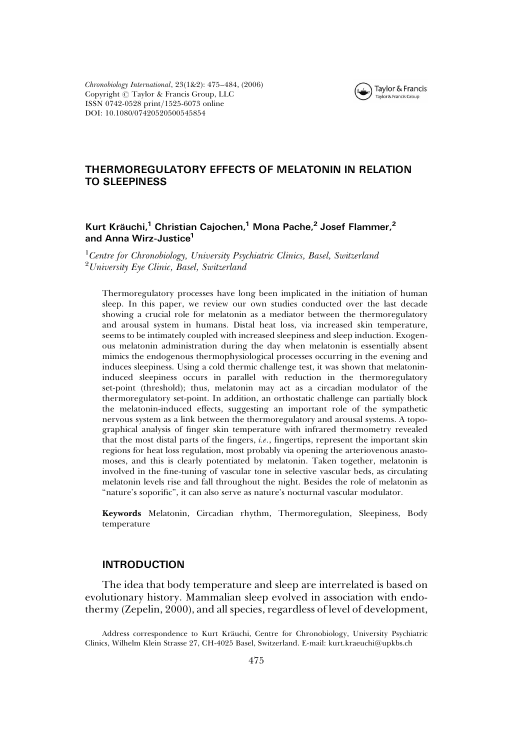

Chronobiology International, 23(1&2): 475–484, (2006) Copyright  $\odot$  Taylor & Francis Group, LLC ISSN 0742-0528 print/1525-6073 online DOI: 10.1080/07420520500545854

## THERMOREGULATORY EFFECTS OF MELATONIN IN RELATION TO SLEEPINESS

## Kurt Kräuchi,<sup>1</sup> Christian Cajochen,<sup>1</sup> Mona Pache,<sup>2</sup> Josef Flammer,<sup>2</sup> and Anna Wirz-Justice<sup>1</sup>

<sup>1</sup> Centre for Chronobiology, University Psychiatric Clinics, Basel, Switzerland <sup>2</sup> University Eye Clinic, Basel, Switzerland

Thermoregulatory processes have long been implicated in the initiation of human sleep. In this paper, we review our own studies conducted over the last decade showing a crucial role for melatonin as a mediator between the thermoregulatory and arousal system in humans. Distal heat loss, via increased skin temperature, seems to be intimately coupled with increased sleepiness and sleep induction. Exogenous melatonin administration during the day when melatonin is essentially absent mimics the endogenous thermophysiological processes occurring in the evening and induces sleepiness. Using a cold thermic challenge test, it was shown that melatonininduced sleepiness occurs in parallel with reduction in the thermoregulatory set-point (threshold); thus, melatonin may act as a circadian modulator of the thermoregulatory set-point. In addition, an orthostatic challenge can partially block the melatonin-induced effects, suggesting an important role of the sympathetic nervous system as a link between the thermoregulatory and arousal systems. A topographical analysis of finger skin temperature with infrared thermometry revealed that the most distal parts of the fingers,  $i.e.,$  fingertips, represent the important skin regions for heat loss regulation, most probably via opening the arteriovenous anastomoses, and this is clearly potentiated by melatonin. Taken together, melatonin is involved in the fine-tuning of vascular tone in selective vascular beds, as circulating melatonin levels rise and fall throughout the night. Besides the role of melatonin as "nature's soporific", it can also serve as nature's nocturnal vascular modulator.

Keywords Melatonin, Circadian rhythm, Thermoregulation, Sleepiness, Body temperature

### INTRODUCTION

The idea that body temperature and sleep are interrelated is based on evolutionary history. Mammalian sleep evolved in association with endothermy (Zepelin, 2000), and all species, regardless of level of development,

Address correspondence to Kurt Kräuchi, Centre for Chronobiology, University Psychiatric Clinics, Wilhelm Klein Strasse 27, CH-4025 Basel, Switzerland. E-mail: kurt.kraeuchi@upkbs.ch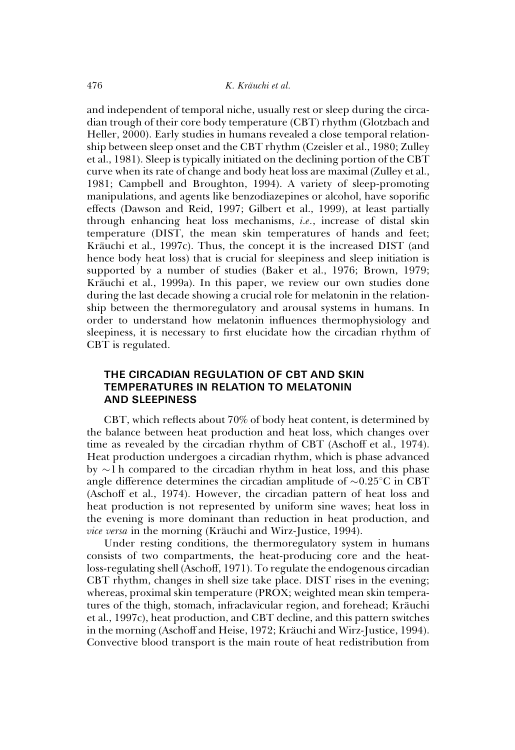and independent of temporal niche, usually rest or sleep during the circadian trough of their core body temperature (CBT) rhythm (Glotzbach and Heller, 2000). Early studies in humans revealed a close temporal relationship between sleep onset and the CBT rhythm (Czeisler et al., 1980; Zulley et al., 1981). Sleep is typically initiated on the declining portion of the CBT curve when its rate of change and body heat loss are maximal (Zulley et al., 1981; Campbell and Broughton, 1994). A variety of sleep-promoting manipulations, and agents like benzodiazepines or alcohol, have soporific effects (Dawson and Reid, 1997; Gilbert et al., 1999), at least partially through enhancing heat loss mechanisms, i.e., increase of distal skin temperature (DIST, the mean skin temperatures of hands and feet; Kräuchi et al., 1997c). Thus, the concept it is the increased DIST (and hence body heat loss) that is crucial for sleepiness and sleep initiation is supported by a number of studies (Baker et al., 1976; Brown, 1979; Kräuchi et al., 1999a). In this paper, we review our own studies done during the last decade showing a crucial role for melatonin in the relationship between the thermoregulatory and arousal systems in humans. In order to understand how melatonin influences thermophysiology and sleepiness, it is necessary to first elucidate how the circadian rhythm of CBT is regulated.

# THE CIRCADIAN REGULATION OF CBT AND SKIN TEMPERATURES IN RELATION TO MELATONIN AND SLEEPINESS

CBT, which reflects about 70% of body heat content, is determined by the balance between heat production and heat loss, which changes over time as revealed by the circadian rhythm of CBT (Aschoff et al., 1974). Heat production undergoes a circadian rhythm, which is phase advanced by  $\sim$ 1 h compared to the circadian rhythm in heat loss, and this phase angle difference determines the circadian amplitude of  $\sim 0.25^{\circ}$ C in CBT (Aschoff et al., 1974). However, the circadian pattern of heat loss and heat production is not represented by uniform sine waves; heat loss in the evening is more dominant than reduction in heat production, and vice versa in the morning (Kräuchi and Wirz-Justice, 1994).

Under resting conditions, the thermoregulatory system in humans consists of two compartments, the heat-producing core and the heatloss-regulating shell (Aschoff, 1971). To regulate the endogenous circadian CBT rhythm, changes in shell size take place. DIST rises in the evening; whereas, proximal skin temperature (PROX; weighted mean skin temperatures of the thigh, stomach, infraclavicular region, and forehead; Kräuchi et al., 1997c), heat production, and CBT decline, and this pattern switches in the morning (Aschoff and Heise, 1972; Kräuchi and Wirz-Justice, 1994). Convective blood transport is the main route of heat redistribution from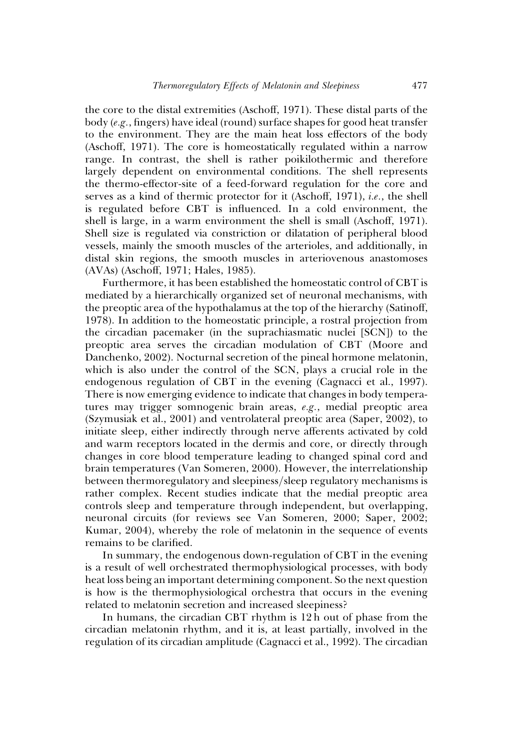the core to the distal extremities (Aschoff, 1971). These distal parts of the body (e.g., fingers) have ideal (round) surface shapes for good heat transfer to the environment. They are the main heat loss effectors of the body (Aschoff, 1971). The core is homeostatically regulated within a narrow range. In contrast, the shell is rather poikilothermic and therefore largely dependent on environmental conditions. The shell represents the thermo-effector-site of a feed-forward regulation for the core and serves as a kind of thermic protector for it (Aschoff, 1971), i.e., the shell is regulated before CBT is influenced. In a cold environment, the shell is large, in a warm environment the shell is small (Aschoff, 1971). Shell size is regulated via constriction or dilatation of peripheral blood vessels, mainly the smooth muscles of the arterioles, and additionally, in distal skin regions, the smooth muscles in arteriovenous anastomoses (AVAs) (Aschoff, 1971; Hales, 1985).

Furthermore, it has been established the homeostatic control of CBT is mediated by a hierarchically organized set of neuronal mechanisms, with the preoptic area of the hypothalamus at the top of the hierarchy (Satinoff, 1978). In addition to the homeostatic principle, a rostral projection from the circadian pacemaker (in the suprachiasmatic nuclei [SCN]) to the preoptic area serves the circadian modulation of CBT (Moore and Danchenko, 2002). Nocturnal secretion of the pineal hormone melatonin, which is also under the control of the SCN, plays a crucial role in the endogenous regulation of CBT in the evening (Cagnacci et al., 1997). There is now emerging evidence to indicate that changes in body temperatures may trigger somnogenic brain areas, e.g., medial preoptic area (Szymusiak et al., 2001) and ventrolateral preoptic area (Saper, 2002), to initiate sleep, either indirectly through nerve afferents activated by cold and warm receptors located in the dermis and core, or directly through changes in core blood temperature leading to changed spinal cord and brain temperatures (Van Someren, 2000). However, the interrelationship between thermoregulatory and sleepiness/sleep regulatory mechanisms is rather complex. Recent studies indicate that the medial preoptic area controls sleep and temperature through independent, but overlapping, neuronal circuits (for reviews see Van Someren, 2000; Saper, 2002; Kumar, 2004), whereby the role of melatonin in the sequence of events remains to be clarified.

In summary, the endogenous down-regulation of CBT in the evening is a result of well orchestrated thermophysiological processes, with body heat loss being an important determining component. So the next question is how is the thermophysiological orchestra that occurs in the evening related to melatonin secretion and increased sleepiness?

In humans, the circadian CBT rhythm is 12 h out of phase from the circadian melatonin rhythm, and it is, at least partially, involved in the regulation of its circadian amplitude (Cagnacci et al., 1992). The circadian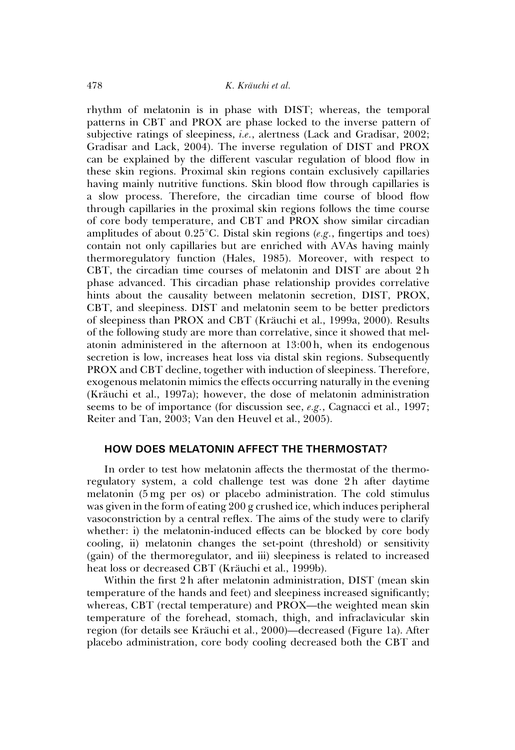rhythm of melatonin is in phase with DIST; whereas, the temporal patterns in CBT and PROX are phase locked to the inverse pattern of subjective ratings of sleepiness, *i.e.*, alertness (Lack and Gradisar, 2002; Gradisar and Lack, 2004). The inverse regulation of DIST and PROX can be explained by the different vascular regulation of blood flow in these skin regions. Proximal skin regions contain exclusively capillaries having mainly nutritive functions. Skin blood flow through capillaries is a slow process. Therefore, the circadian time course of blood flow through capillaries in the proximal skin regions follows the time course of core body temperature, and CBT and PROX show similar circadian amplitudes of about 0.25°C. Distal skin regions (e.g., fingertips and toes) contain not only capillaries but are enriched with AVAs having mainly thermoregulatory function (Hales, 1985). Moreover, with respect to CBT, the circadian time courses of melatonin and DIST are about 2 h phase advanced. This circadian phase relationship provides correlative hints about the causality between melatonin secretion, DIST, PROX, CBT, and sleepiness. DIST and melatonin seem to be better predictors of sleepiness than PROX and CBT (Kräuchi et al., 1999a, 2000). Results of the following study are more than correlative, since it showed that melatonin administered in the afternoon at 13:00 h, when its endogenous secretion is low, increases heat loss via distal skin regions. Subsequently PROX and CBT decline, together with induction of sleepiness. Therefore, exogenous melatonin mimics the effects occurring naturally in the evening (Kra¨uchi et al., 1997a); however, the dose of melatonin administration seems to be of importance (for discussion see, e.g., Cagnacci et al., 1997; Reiter and Tan, 2003; Van den Heuvel et al., 2005).

## HOW DOES MELATONIN AFFECT THE THERMOSTAT?

In order to test how melatonin affects the thermostat of the thermoregulatory system, a cold challenge test was done 2 h after daytime melatonin (5 mg per os) or placebo administration. The cold stimulus was given in the form of eating 200 g crushed ice, which induces peripheral vasoconstriction by a central reflex. The aims of the study were to clarify whether: i) the melatonin-induced effects can be blocked by core body cooling, ii) melatonin changes the set-point (threshold) or sensitivity (gain) of the thermoregulator, and iii) sleepiness is related to increased heat loss or decreased CBT (Kräuchi et al., 1999b).

Within the first 2 h after melatonin administration, DIST (mean skin temperature of the hands and feet) and sleepiness increased significantly; whereas, CBT (rectal temperature) and PROX—the weighted mean skin temperature of the forehead, stomach, thigh, and infraclavicular skin region (for details see Kräuchi et al., 2000)—decreased (Figure 1a). After placebo administration, core body cooling decreased both the CBT and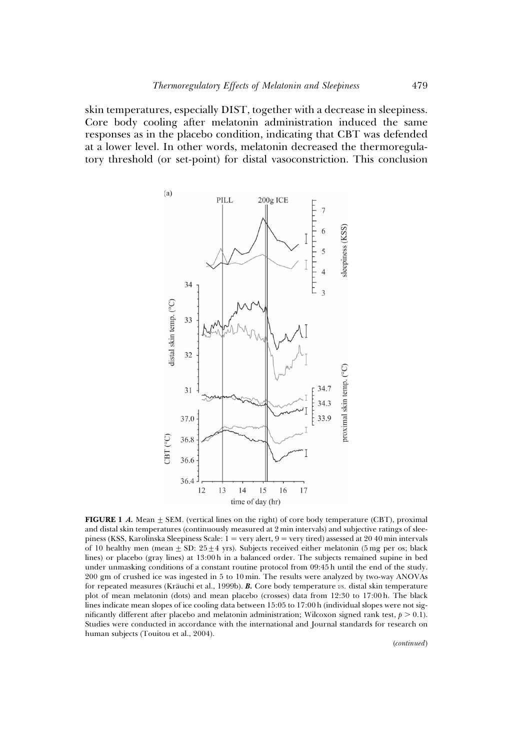skin temperatures, especially DIST, together with a decrease in sleepiness. Core body cooling after melatonin administration induced the same responses as in the placebo condition, indicating that CBT was defended at a lower level. In other words, melatonin decreased the thermoregulatory threshold (or set-point) for distal vasoconstriction. This conclusion



**FIGURE 1 A.** Mean  $\pm$  SEM. (vertical lines on the right) of core body temperature (CBT), proximal and distal skin temperatures (continuously measured at 2 min intervals) and subjective ratings of sleepiness (KSS, Karolinska Sleepiness Scale:  $1 = \text{very alert}, 9 = \text{very tired}$ ) assessed at 2040 min intervals of 10 healthy men (mean  $\pm$  SD: 25 $\pm$ 4 yrs). Subjects received either melatonin (5 mg per os; black lines) or placebo (gray lines) at 13:00 h in a balanced order. The subjects remained supine in bed under unmasking conditions of a constant routine protocol from 09:45 h until the end of the study. 200 gm of crushed ice was ingested in 5 to 10 min. The results were analyzed by two-way ANOVAs for repeated measures (Kräuchi et al., 1999b).  $B$ . Core body temperature  $vs.$  distal skin temperature plot of mean melatonin (dots) and mean placebo (crosses) data from 12:30 to 17:00 h. The black lines indicate mean slopes of ice cooling data between 15:05 to 17:00 h (individual slopes were not significantly different after placebo and melatonin administration; Wilcoxon signed rank test,  $p > 0.1$ ). Studies were conducted in accordance with the international and Journal standards for research on human subjects (Touitou et al., 2004).

(continued)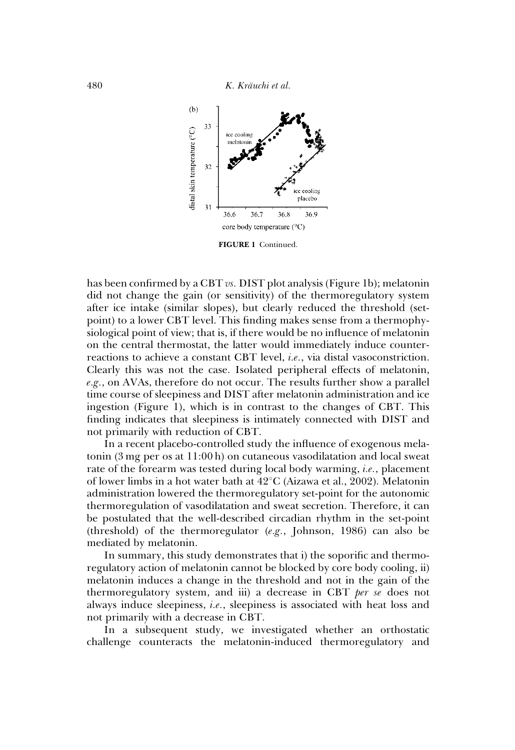

FIGURE 1 Continued.

has been confirmed by a CBT vs. DIST plot analysis (Figure 1b); melatonin did not change the gain (or sensitivity) of the thermoregulatory system after ice intake (similar slopes), but clearly reduced the threshold (setpoint) to a lower CBT level. This finding makes sense from a thermophysiological point of view; that is, if there would be no influence of melatonin on the central thermostat, the latter would immediately induce counterreactions to achieve a constant CBT level, i.e., via distal vasoconstriction. Clearly this was not the case. Isolated peripheral effects of melatonin,  $e.g.,$  on AVAs, therefore do not occur. The results further show a parallel time course of sleepiness and DIST after melatonin administration and ice ingestion (Figure 1), which is in contrast to the changes of CBT. This finding indicates that sleepiness is intimately connected with DIST and not primarily with reduction of CBT.

In a recent placebo-controlled study the influence of exogenous melatonin (3 mg per os at 11:00 h) on cutaneous vasodilatation and local sweat rate of the forearm was tested during local body warming, i.e., placement of lower limbs in a hot water bath at 42°C (Aizawa et al., 2002). Melatonin administration lowered the thermoregulatory set-point for the autonomic thermoregulation of vasodilatation and sweat secretion. Therefore, it can be postulated that the well-described circadian rhythm in the set-point (threshold) of the thermoregulator (e.g., Johnson, 1986) can also be mediated by melatonin.

In summary, this study demonstrates that i) the soporific and thermoregulatory action of melatonin cannot be blocked by core body cooling, ii) melatonin induces a change in the threshold and not in the gain of the thermoregulatory system, and iii) a decrease in CBT per se does not always induce sleepiness, i.e., sleepiness is associated with heat loss and not primarily with a decrease in CBT.

In a subsequent study, we investigated whether an orthostatic challenge counteracts the melatonin-induced thermoregulatory and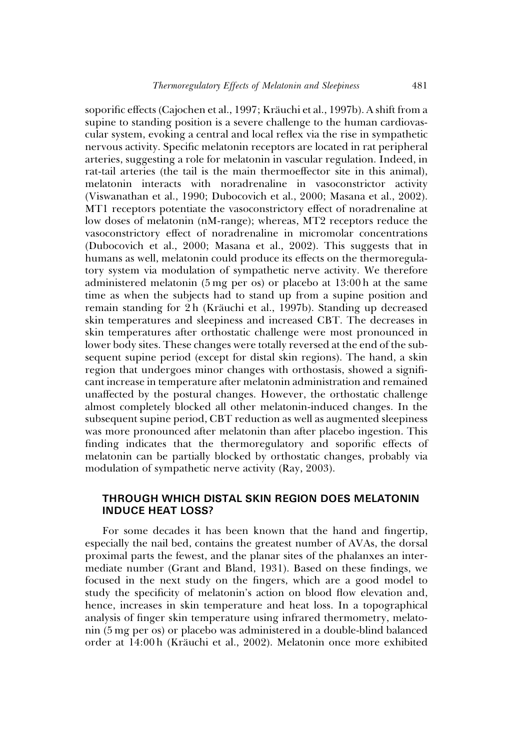soporific effects (Cajochen et al., 1997; Kräuchi et al., 1997b). A shift from a supine to standing position is a severe challenge to the human cardiovascular system, evoking a central and local reflex via the rise in sympathetic nervous activity. Specific melatonin receptors are located in rat peripheral arteries, suggesting a role for melatonin in vascular regulation. Indeed, in rat-tail arteries (the tail is the main thermoeffector site in this animal), melatonin interacts with noradrenaline in vasoconstrictor activity (Viswanathan et al., 1990; Dubocovich et al., 2000; Masana et al., 2002). MT1 receptors potentiate the vasoconstrictory effect of noradrenaline at low doses of melatonin (nM-range); whereas, MT2 receptors reduce the vasoconstrictory effect of noradrenaline in micromolar concentrations (Dubocovich et al., 2000; Masana et al., 2002). This suggests that in humans as well, melatonin could produce its effects on the thermoregulatory system via modulation of sympathetic nerve activity. We therefore administered melatonin (5 mg per os) or placebo at 13:00 h at the same time as when the subjects had to stand up from a supine position and remain standing for 2 h (Kräuchi et al., 1997b). Standing up decreased skin temperatures and sleepiness and increased CBT. The decreases in skin temperatures after orthostatic challenge were most pronounced in lower body sites. These changes were totally reversed at the end of the subsequent supine period (except for distal skin regions). The hand, a skin region that undergoes minor changes with orthostasis, showed a significant increase in temperature after melatonin administration and remained unaffected by the postural changes. However, the orthostatic challenge almost completely blocked all other melatonin-induced changes. In the subsequent supine period, CBT reduction as well as augmented sleepiness was more pronounced after melatonin than after placebo ingestion. This finding indicates that the thermoregulatory and soporific effects of melatonin can be partially blocked by orthostatic changes, probably via modulation of sympathetic nerve activity (Ray, 2003).

## THROUGH WHICH DISTAL SKIN REGION DOES MELATONIN INDUCE HEAT LOSS?

For some decades it has been known that the hand and fingertip, especially the nail bed, contains the greatest number of AVAs, the dorsal proximal parts the fewest, and the planar sites of the phalanxes an intermediate number (Grant and Bland, 1931). Based on these findings, we focused in the next study on the fingers, which are a good model to study the specificity of melatonin's action on blood flow elevation and, hence, increases in skin temperature and heat loss. In a topographical analysis of finger skin temperature using infrared thermometry, melatonin (5 mg per os) or placebo was administered in a double-blind balanced order at 14:00 h (Kräuchi et al., 2002). Melatonin once more exhibited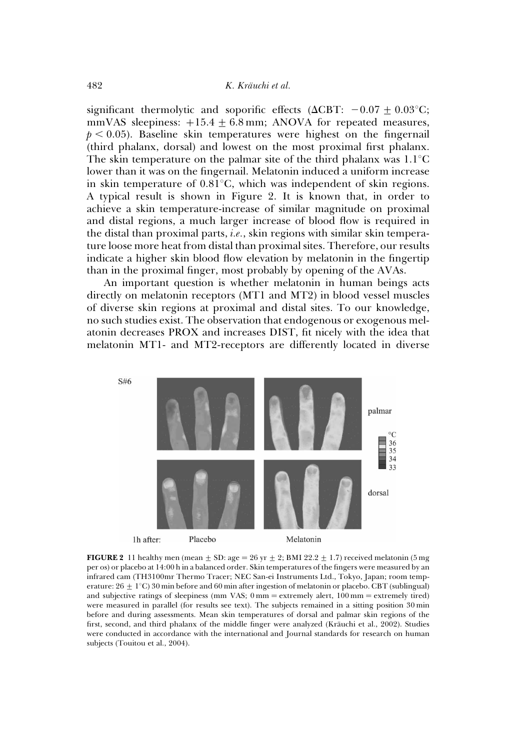significant thermolytic and soporific effects ( $\Delta$ CBT:  $-0.07 \pm 0.03$ °C; mmVAS sleepiness:  $+15.4 \pm 6.8$  mm; ANOVA for repeated measures,  $p < 0.05$ ). Baseline skin temperatures were highest on the fingernail (third phalanx, dorsal) and lowest on the most proximal first phalanx. The skin temperature on the palmar site of the third phalanx was  $1.1^{\circ}$ C lower than it was on the fingernail. Melatonin induced a uniform increase in skin temperature of  $0.81^{\circ}$ C, which was independent of skin regions. A typical result is shown in Figure 2. It is known that, in order to achieve a skin temperature-increase of similar magnitude on proximal and distal regions, a much larger increase of blood flow is required in the distal than proximal parts, i.e., skin regions with similar skin temperature loose more heat from distal than proximal sites. Therefore, our results indicate a higher skin blood flow elevation by melatonin in the fingertip than in the proximal finger, most probably by opening of the AVAs.

An important question is whether melatonin in human beings acts directly on melatonin receptors (MT1 and MT2) in blood vessel muscles of diverse skin regions at proximal and distal sites. To our knowledge, no such studies exist. The observation that endogenous or exogenous melatonin decreases PROX and increases DIST, fit nicely with the idea that melatonin MT1- and MT2-receptors are differently located in diverse



FIGURE 2 11 healthy men (mean  $\pm$  SD: age = 26 yr  $\pm$  2; BMI 22.2  $\pm$  1.7) received melatonin (5 mg per os) or placebo at 14:00 h in a balanced order. Skin temperatures of the fingers were measured by an infrared cam (TH3100mr Thermo Tracer; NEC San-ei Instruments Ltd., Tokyo, Japan; room temperature:  $26 \pm 1^{\circ}$ C) 30 min before and 60 min after ingestion of melatonin or placebo. CBT (sublingual) and subjective ratings of sleepiness (mm VAS;  $0 \text{ mm} =$  extremely alert,  $100 \text{ mm} =$  extremely tired) were measured in parallel (for results see text). The subjects remained in a sitting position 30 min before and during assessments. Mean skin temperatures of dorsal and palmar skin regions of the first, second, and third phalanx of the middle finger were analyzed (Kräuchi et al., 2002). Studies were conducted in accordance with the international and Journal standards for research on human subjects (Touitou et al., 2004).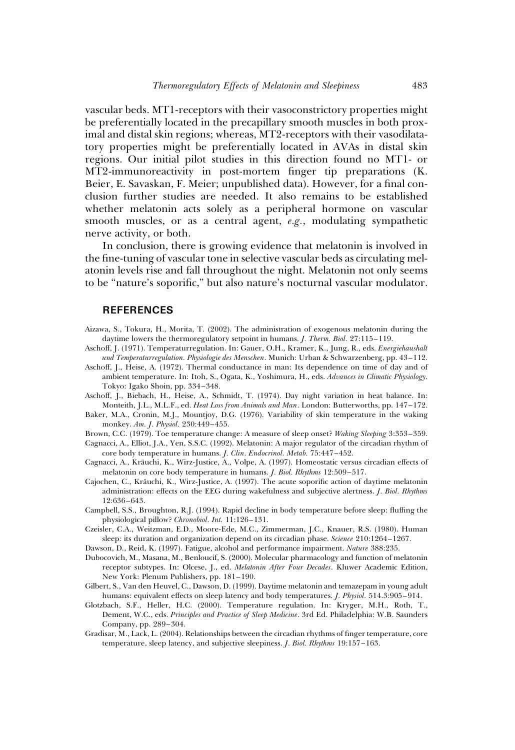vascular beds. MT1-receptors with their vasoconstrictory properties might be preferentially located in the precapillary smooth muscles in both proximal and distal skin regions; whereas, MT2-receptors with their vasodilatatory properties might be preferentially located in AVAs in distal skin regions. Our initial pilot studies in this direction found no MT1- or MT2-immunoreactivity in post-mortem finger tip preparations (K. Beier, E. Savaskan, F. Meier; unpublished data). However, for a final conclusion further studies are needed. It also remains to be established whether melatonin acts solely as a peripheral hormone on vascular smooth muscles, or as a central agent, e.g., modulating sympathetic nerve activity, or both.

In conclusion, there is growing evidence that melatonin is involved in the fine-tuning of vascular tone in selective vascular beds as circulating melatonin levels rise and fall throughout the night. Melatonin not only seems to be "nature's soporific," but also nature's nocturnal vascular modulator.

#### REFERENCES

- Aizawa, S., Tokura, H., Morita, T. (2002). The administration of exogenous melatonin during the daytime lowers the thermoregulatory setpoint in humans. J. Therm. Biol. 27:115–119.
- Aschoff, J. (1971). Temperaturregulation. In: Gauer, O.H., Kramer, K., Jung, R., eds. Energiehaushalt und Temperaturregulation. Physiologie des Menschen. Munich: Urban & Schwarzenberg, pp. 43–112.
- Aschoff, J., Heise, A. (1972). Thermal conductance in man: Its dependence on time of day and of ambient temperature. In: Itoh, S., Ogata, K., Yoshimura, H., eds. Advances in Climatic Physiology. Tokyo: Igako Shoin, pp. 334–348.
- Aschoff, J., Biebach, H., Heise, A., Schmidt, T. (1974). Day night variation in heat balance. In: Monteith, J.L., M.L.F., ed. Heat Loss from Animals and Man. London: Butterworths, pp. 147-172.
- Baker, M.A., Cronin, M.J., Mountjoy, D.G. (1976). Variability of skin temperature in the waking monkey. Am. J. Physiol. 230:449–455.
- Brown, C.C. (1979). Toe temperature change: A measure of sleep onset? Waking Sleeping 3:353–359. Cagnacci, A., Elliot, J.A., Yen, S.S.C. (1992). Melatonin: A major regulator of the circadian rhythm of
- core body temperature in humans. J. Clin. Endocrinol. Metab. 75:447–452. Cagnacci, A., Kräuchi, K., Wirz-Justice, A., Volpe, A. (1997). Homeostatic versus circadian effects of
- melatonin on core body temperature in humans. J. Biol. Rhythms 12:509–517.
- Cajochen, C., Kräuchi, K., Wirz-Justice, A. (1997). The acute soporific action of daytime melatonin administration: effects on the EEG during wakefulness and subjective alertness. J. Biol. Rhythms 12:636–643.
- Campbell, S.S., Broughton, R.J. (1994). Rapid decline in body temperature before sleep: fluffing the physiological pillow? Chronobiol. Int. 11:126–131.
- Czeisler, C.A., Weitzman, E.D., Moore-Ede, M.C., Zimmerman, J.C., Knauer, R.S. (1980). Human sleep: its duration and organization depend on its circadian phase. Science 210:1264-1267.
- Dawson, D., Reid, K. (1997). Fatigue, alcohol and performance impairment. Nature 388:235.
- Dubocovich, M., Masana, M., Benloucif, S. (2000). Molecular pharmacology and function of melatonin receptor subtypes. In: Olcese, J., ed. Melatonin After Four Decades. Kluwer Academic Edition, New York: Plenum Publishers, pp. 181–190.
- Gilbert, S., Van den Heuvel, C., Dawson, D. (1999). Daytime melatonin and temazepam in young adult humans: equivalent effects on sleep latency and body temperatures. J. Physiol. 514.3:905-914.
- Glotzbach, S.F., Heller, H.C. (2000). Temperature regulation. In: Kryger, M.H., Roth, T., Dement, W.C., eds. Principles and Practice of Sleep Medicine. 3rd Ed. Philadelphia: W.B. Saunders Company, pp. 289–304.
- Gradisar, M., Lack, L. (2004). Relationships between the circadian rhythms of finger temperature, core temperature, sleep latency, and subjective sleepiness. J. Biol. Rhythms 19:157–163.